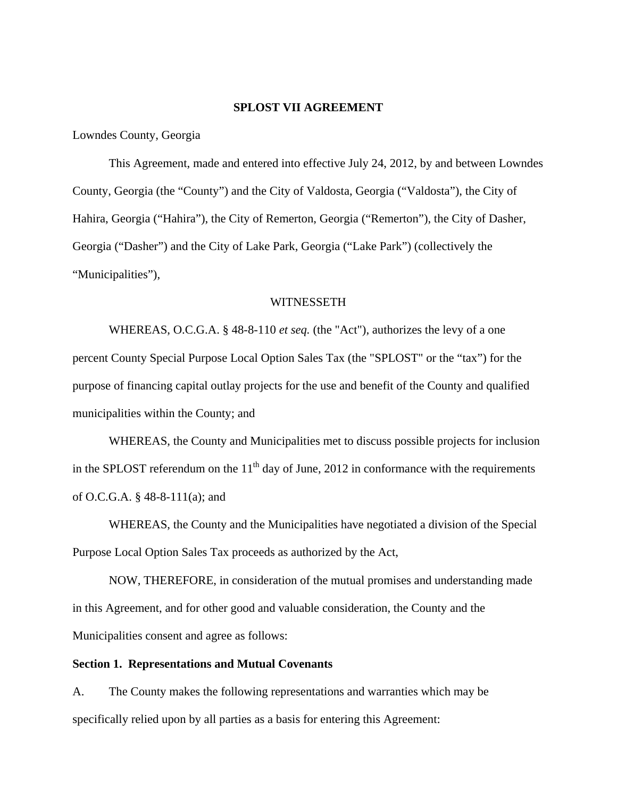#### **SPLOST VII AGREEMENT**

Lowndes County, Georgia

 This Agreement, made and entered into effective July 24, 2012, by and between Lowndes County, Georgia (the "County") and the City of Valdosta, Georgia ("Valdosta"), the City of Hahira, Georgia ("Hahira"), the City of Remerton, Georgia ("Remerton"), the City of Dasher, Georgia ("Dasher") and the City of Lake Park, Georgia ("Lake Park") (collectively the "Municipalities"),

#### WITNESSETH

 WHEREAS, O.C.G.A. § 48-8-110 *et seq.* (the "Act"), authorizes the levy of a one percent County Special Purpose Local Option Sales Tax (the "SPLOST" or the "tax") for the purpose of financing capital outlay projects for the use and benefit of the County and qualified municipalities within the County; and

 WHEREAS, the County and Municipalities met to discuss possible projects for inclusion in the SPLOST referendum on the  $11<sup>th</sup>$  day of June, 2012 in conformance with the requirements of O.C.G.A. § 48-8-111(a); and

 WHEREAS, the County and the Municipalities have negotiated a division of the Special Purpose Local Option Sales Tax proceeds as authorized by the Act,

 NOW, THEREFORE, in consideration of the mutual promises and understanding made in this Agreement, and for other good and valuable consideration, the County and the Municipalities consent and agree as follows:

#### **Section 1. Representations and Mutual Covenants**

A. The County makes the following representations and warranties which may be specifically relied upon by all parties as a basis for entering this Agreement: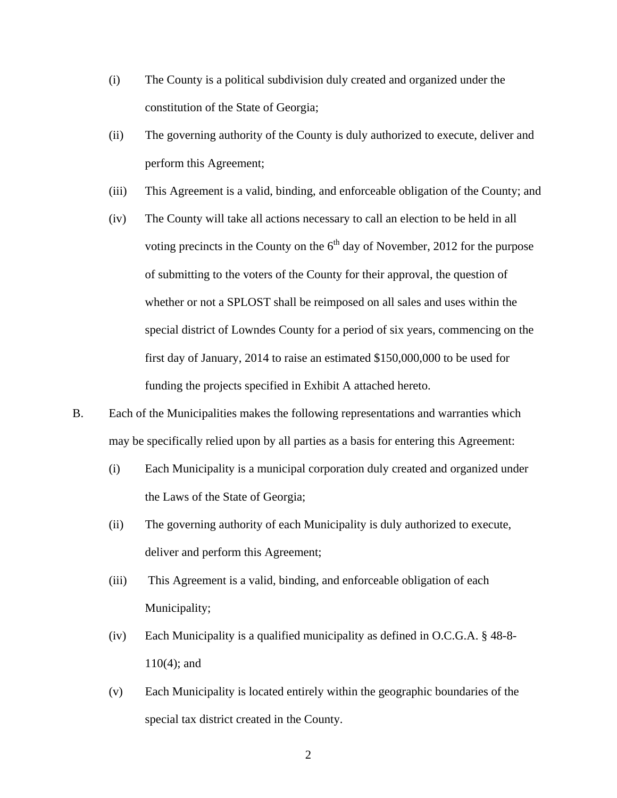- (i) The County is a political subdivision duly created and organized under the constitution of the State of Georgia;
- (ii) The governing authority of the County is duly authorized to execute, deliver and perform this Agreement;
- (iii) This Agreement is a valid, binding, and enforceable obligation of the County; and
- (iv) The County will take all actions necessary to call an election to be held in all voting precincts in the County on the  $6<sup>th</sup>$  day of November, 2012 for the purpose of submitting to the voters of the County for their approval, the question of whether or not a SPLOST shall be reimposed on all sales and uses within the special district of Lowndes County for a period of six years, commencing on the first day of January, 2014 to raise an estimated \$150,000,000 to be used for funding the projects specified in Exhibit A attached hereto.
- B. Each of the Municipalities makes the following representations and warranties which may be specifically relied upon by all parties as a basis for entering this Agreement:
	- (i) Each Municipality is a municipal corporation duly created and organized under the Laws of the State of Georgia;
	- (ii) The governing authority of each Municipality is duly authorized to execute, deliver and perform this Agreement;
	- (iii) This Agreement is a valid, binding, and enforceable obligation of each Municipality;
	- (iv) Each Municipality is a qualified municipality as defined in O.C.G.A. § 48-8- 110(4); and
	- (v) Each Municipality is located entirely within the geographic boundaries of the special tax district created in the County.

2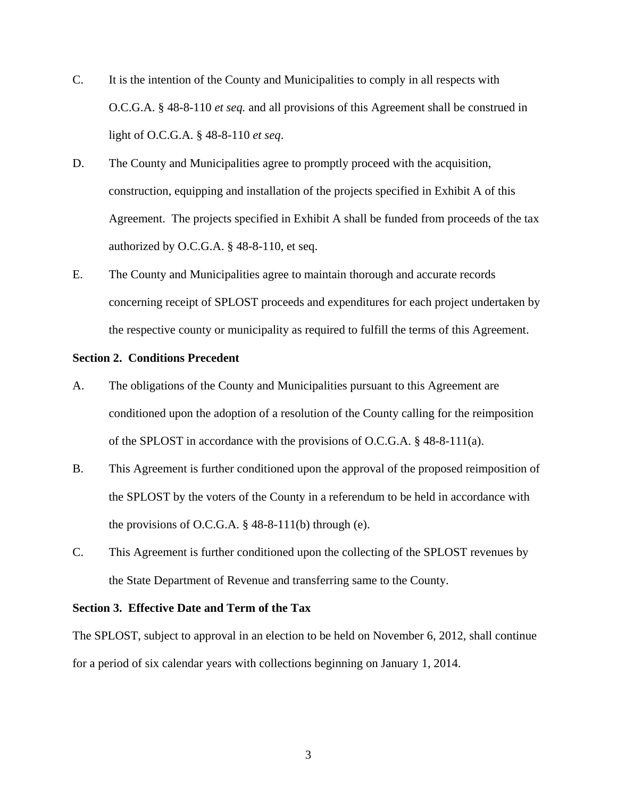- C. It is the intention of the County and Municipalities to comply in all respects with O.C.G.A. § 48-8-110 *et seq.* and all provisions of this Agreement shall be construed in light of O.C.G.A. § 48-8-110 *et seq*.
- D. The County and Municipalities agree to promptly proceed with the acquisition, construction, equipping and installation of the projects specified in Exhibit A of this Agreement. The projects specified in Exhibit A shall be funded from proceeds of the tax authorized by O.C.G.A. § 48-8-110, et seq.
- E. The County and Municipalities agree to maintain thorough and accurate records concerning receipt of SPLOST proceeds and expenditures for each project undertaken by the respective county or municipality as required to fulfill the terms of this Agreement.

#### **Section 2. Conditions Precedent**

- A. The obligations of the County and Municipalities pursuant to this Agreement are conditioned upon the adoption of a resolution of the County calling for the reimposition of the SPLOST in accordance with the provisions of O.C.G.A. § 48-8-111(a).
- B. This Agreement is further conditioned upon the approval of the proposed reimposition of the SPLOST by the voters of the County in a referendum to be held in accordance with the provisions of O.C.G.A.  $\S$  48-8-111(b) through (e).
- C. This Agreement is further conditioned upon the collecting of the SPLOST revenues by the State Department of Revenue and transferring same to the County.

#### **Section 3. Effective Date and Term of the Tax**

The SPLOST, subject to approval in an election to be held on November 6, 2012, shall continue for a period of six calendar years with collections beginning on January 1, 2014.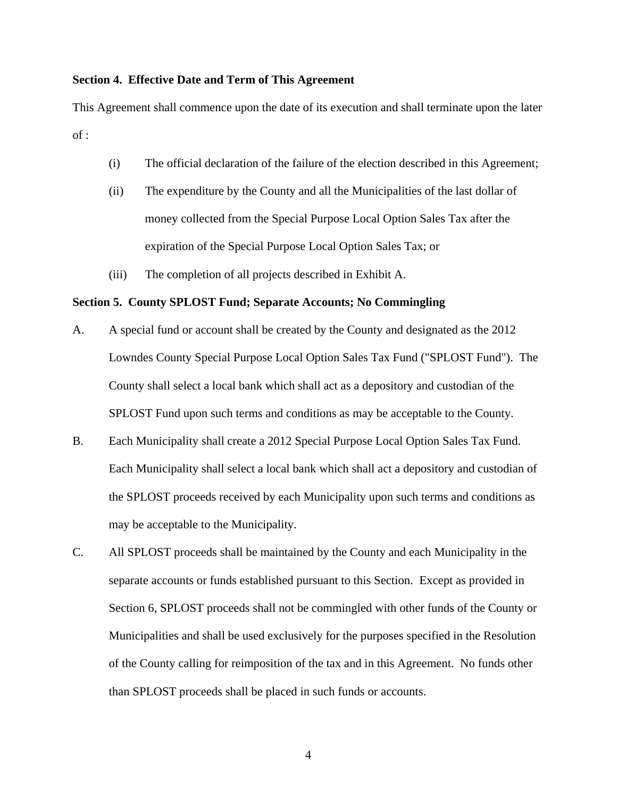#### **Section 4. Effective Date and Term of This Agreement**

This Agreement shall commence upon the date of its execution and shall terminate upon the later  $of:$ 

- (i) The official declaration of the failure of the election described in this Agreement;
- (ii) The expenditure by the County and all the Municipalities of the last dollar of money collected from the Special Purpose Local Option Sales Tax after the expiration of the Special Purpose Local Option Sales Tax; or
- (iii) The completion of all projects described in Exhibit A.

#### **Section 5. County SPLOST Fund; Separate Accounts; No Commingling**

- A. A special fund or account shall be created by the County and designated as the 2012 Lowndes County Special Purpose Local Option Sales Tax Fund ("SPLOST Fund"). The County shall select a local bank which shall act as a depository and custodian of the SPLOST Fund upon such terms and conditions as may be acceptable to the County.
- B. Each Municipality shall create a 2012 Special Purpose Local Option Sales Tax Fund. Each Municipality shall select a local bank which shall act a depository and custodian of the SPLOST proceeds received by each Municipality upon such terms and conditions as may be acceptable to the Municipality.
- C. All SPLOST proceeds shall be maintained by the County and each Municipality in the separate accounts or funds established pursuant to this Section. Except as provided in Section 6, SPLOST proceeds shall not be commingled with other funds of the County or Municipalities and shall be used exclusively for the purposes specified in the Resolution of the County calling for reimposition of the tax and in this Agreement. No funds other than SPLOST proceeds shall be placed in such funds or accounts.

4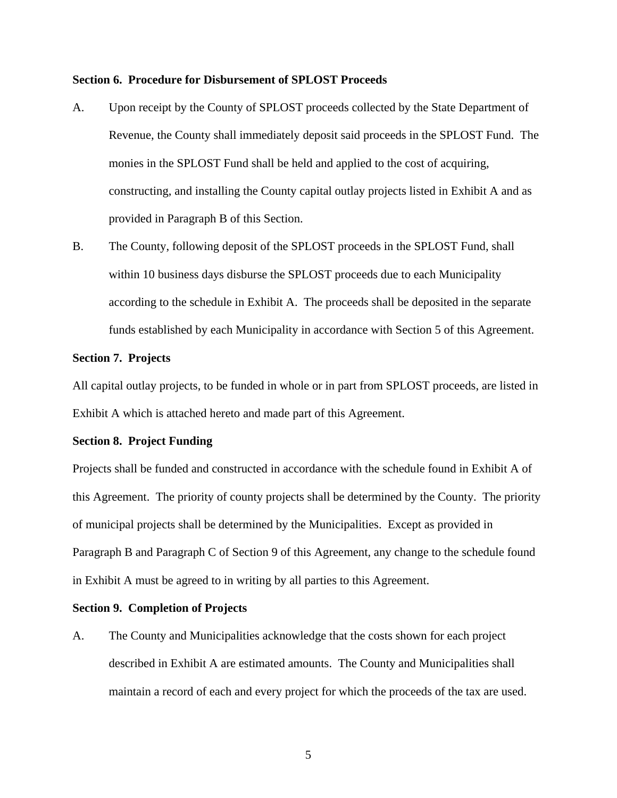#### **Section 6. Procedure for Disbursement of SPLOST Proceeds**

- A. Upon receipt by the County of SPLOST proceeds collected by the State Department of Revenue, the County shall immediately deposit said proceeds in the SPLOST Fund. The monies in the SPLOST Fund shall be held and applied to the cost of acquiring, constructing, and installing the County capital outlay projects listed in Exhibit A and as provided in Paragraph B of this Section.
- B. The County, following deposit of the SPLOST proceeds in the SPLOST Fund, shall within 10 business days disburse the SPLOST proceeds due to each Municipality according to the schedule in Exhibit A. The proceeds shall be deposited in the separate funds established by each Municipality in accordance with Section 5 of this Agreement.

#### **Section 7. Projects**

All capital outlay projects, to be funded in whole or in part from SPLOST proceeds, are listed in Exhibit A which is attached hereto and made part of this Agreement.

#### **Section 8. Project Funding**

Projects shall be funded and constructed in accordance with the schedule found in Exhibit A of this Agreement. The priority of county projects shall be determined by the County. The priority of municipal projects shall be determined by the Municipalities. Except as provided in Paragraph B and Paragraph C of Section 9 of this Agreement, any change to the schedule found in Exhibit A must be agreed to in writing by all parties to this Agreement.

#### **Section 9. Completion of Projects**

A. The County and Municipalities acknowledge that the costs shown for each project described in Exhibit A are estimated amounts. The County and Municipalities shall maintain a record of each and every project for which the proceeds of the tax are used.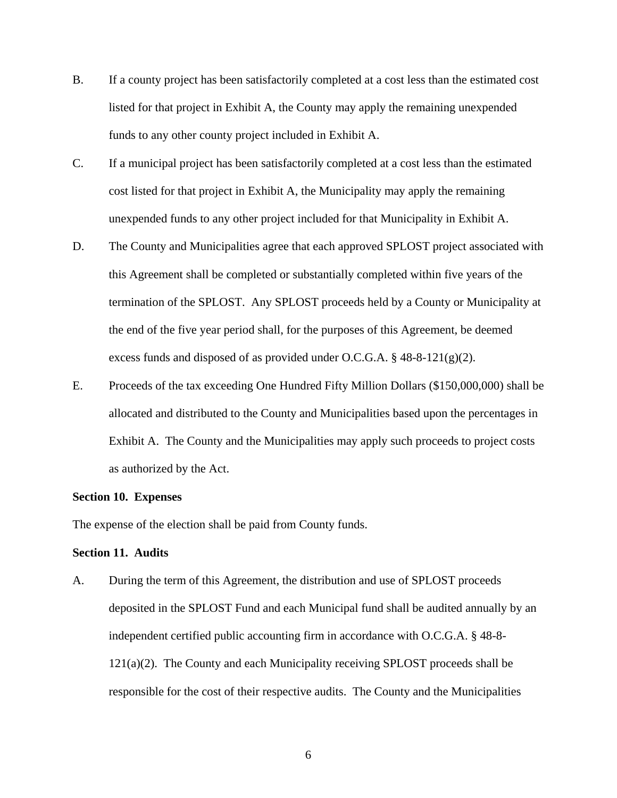- B. If a county project has been satisfactorily completed at a cost less than the estimated cost listed for that project in Exhibit A, the County may apply the remaining unexpended funds to any other county project included in Exhibit A.
- C. If a municipal project has been satisfactorily completed at a cost less than the estimated cost listed for that project in Exhibit A, the Municipality may apply the remaining unexpended funds to any other project included for that Municipality in Exhibit A.
- D. The County and Municipalities agree that each approved SPLOST project associated with this Agreement shall be completed or substantially completed within five years of the termination of the SPLOST. Any SPLOST proceeds held by a County or Municipality at the end of the five year period shall, for the purposes of this Agreement, be deemed excess funds and disposed of as provided under O.C.G.A.  $\S$  48-8-121(g)(2).
- E. Proceeds of the tax exceeding One Hundred Fifty Million Dollars (\$150,000,000) shall be allocated and distributed to the County and Municipalities based upon the percentages in Exhibit A. The County and the Municipalities may apply such proceeds to project costs as authorized by the Act.

#### **Section 10. Expenses**

The expense of the election shall be paid from County funds.

#### **Section 11. Audits**

A. During the term of this Agreement, the distribution and use of SPLOST proceeds deposited in the SPLOST Fund and each Municipal fund shall be audited annually by an independent certified public accounting firm in accordance with O.C.G.A. § 48-8-  $121(a)(2)$ . The County and each Municipality receiving SPLOST proceeds shall be responsible for the cost of their respective audits. The County and the Municipalities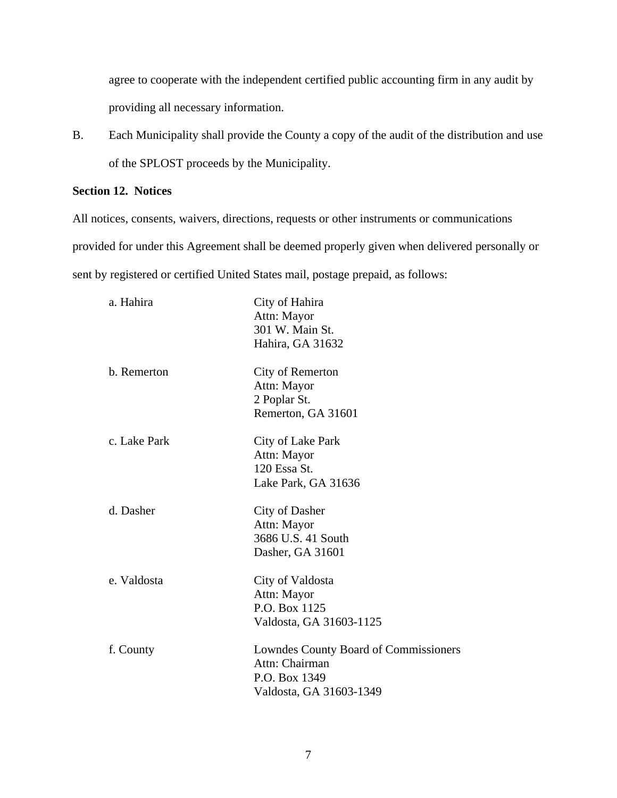agree to cooperate with the independent certified public accounting firm in any audit by providing all necessary information.

B. Each Municipality shall provide the County a copy of the audit of the distribution and use of the SPLOST proceeds by the Municipality.

### **Section 12. Notices**

All notices, consents, waivers, directions, requests or other instruments or communications provided for under this Agreement shall be deemed properly given when delivered personally or sent by registered or certified United States mail, postage prepaid, as follows:

| a. Hahira    | City of Hahira<br>Attn: Mayor<br>301 W. Main St.<br>Hahira, GA 31632                                |
|--------------|-----------------------------------------------------------------------------------------------------|
| b. Remerton  | City of Remerton<br>Attn: Mayor<br>2 Poplar St.<br>Remerton, GA 31601                               |
| c. Lake Park | City of Lake Park<br>Attn: Mayor<br>120 Essa St.<br>Lake Park, GA 31636                             |
| d. Dasher    | City of Dasher<br>Attn: Mayor<br>3686 U.S. 41 South<br>Dasher, GA 31601                             |
| e. Valdosta  | City of Valdosta<br>Attn: Mayor<br>P.O. Box 1125<br>Valdosta, GA 31603-1125                         |
| f. County    | Lowndes County Board of Commissioners<br>Attn: Chairman<br>P.O. Box 1349<br>Valdosta, GA 31603-1349 |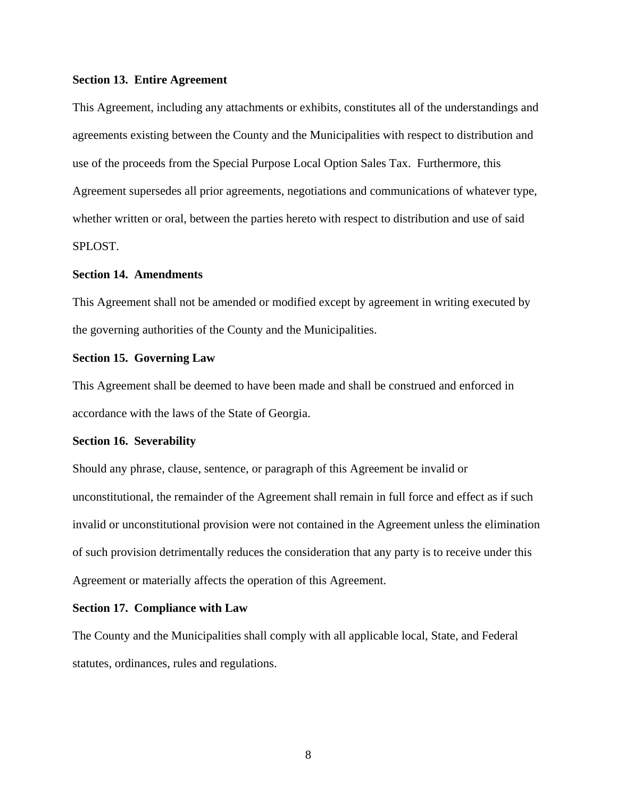#### **Section 13. Entire Agreement**

This Agreement, including any attachments or exhibits, constitutes all of the understandings and agreements existing between the County and the Municipalities with respect to distribution and use of the proceeds from the Special Purpose Local Option Sales Tax. Furthermore, this Agreement supersedes all prior agreements, negotiations and communications of whatever type, whether written or oral, between the parties hereto with respect to distribution and use of said SPLOST.

#### **Section 14. Amendments**

This Agreement shall not be amended or modified except by agreement in writing executed by the governing authorities of the County and the Municipalities.

#### **Section 15. Governing Law**

This Agreement shall be deemed to have been made and shall be construed and enforced in accordance with the laws of the State of Georgia.

#### **Section 16. Severability**

Should any phrase, clause, sentence, or paragraph of this Agreement be invalid or unconstitutional, the remainder of the Agreement shall remain in full force and effect as if such invalid or unconstitutional provision were not contained in the Agreement unless the elimination of such provision detrimentally reduces the consideration that any party is to receive under this Agreement or materially affects the operation of this Agreement.

#### **Section 17. Compliance with Law**

The County and the Municipalities shall comply with all applicable local, State, and Federal statutes, ordinances, rules and regulations.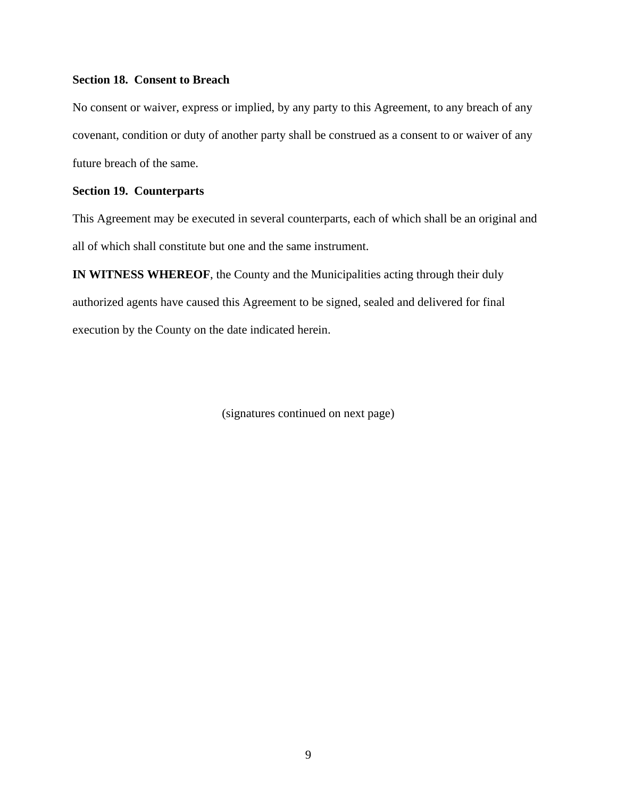### **Section 18. Consent to Breach**

No consent or waiver, express or implied, by any party to this Agreement, to any breach of any covenant, condition or duty of another party shall be construed as a consent to or waiver of any future breach of the same.

### **Section 19. Counterparts**

This Agreement may be executed in several counterparts, each of which shall be an original and all of which shall constitute but one and the same instrument.

**IN WITNESS WHEREOF**, the County and the Municipalities acting through their duly authorized agents have caused this Agreement to be signed, sealed and delivered for final execution by the County on the date indicated herein.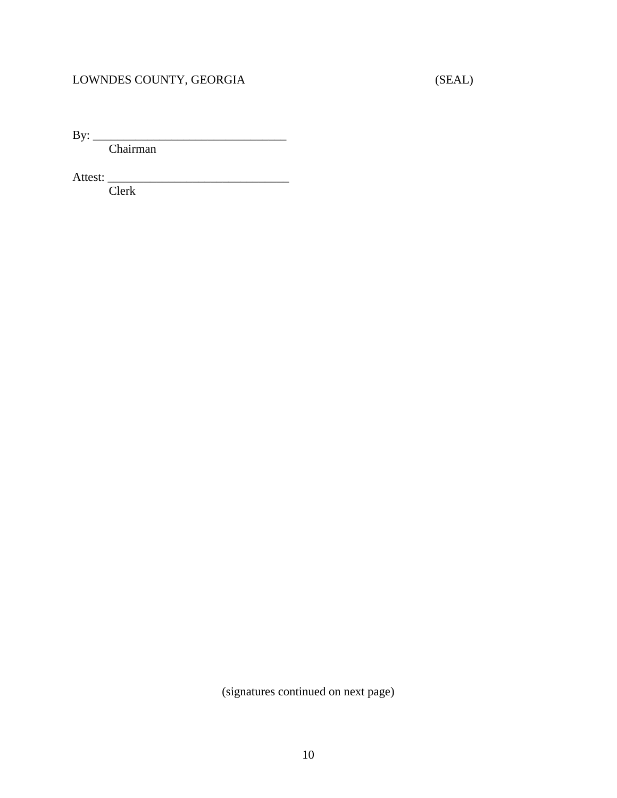# LOWNDES COUNTY, GEORGIA (SEAL)

By: \_\_\_\_\_\_\_\_\_\_\_\_\_\_\_\_\_\_\_\_\_\_\_\_\_\_\_\_\_\_\_\_

Chairman

Attest: \_\_\_\_\_\_\_\_\_\_\_\_\_\_\_\_\_\_\_\_\_\_\_\_\_\_\_\_\_\_

Clerk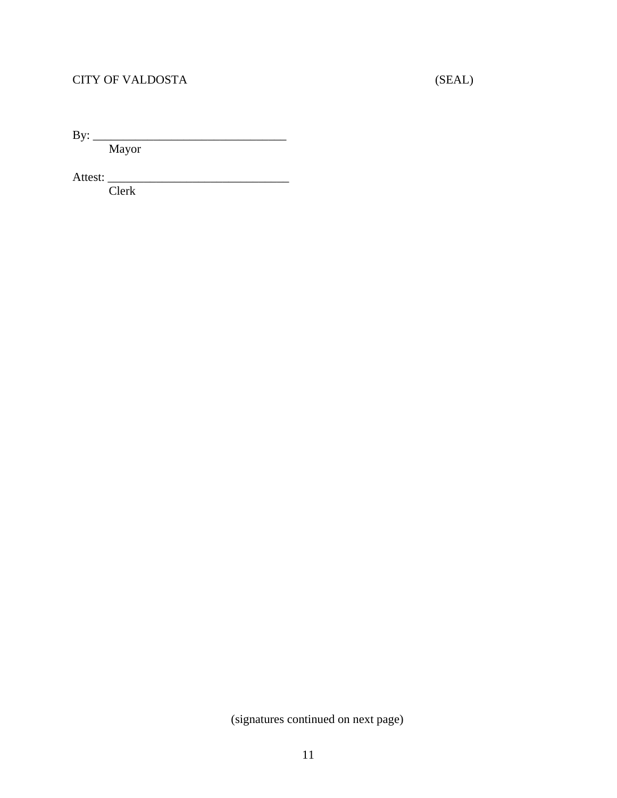# CITY OF VALDOSTA (SEAL)

By: \_\_\_\_\_\_\_\_\_\_\_\_\_\_\_\_\_\_\_\_\_\_\_\_\_\_\_\_\_\_\_\_

Mayor

Attest: \_\_\_\_\_\_\_\_\_\_\_\_\_\_\_\_\_\_\_\_\_\_\_\_\_\_\_\_\_\_

Clerk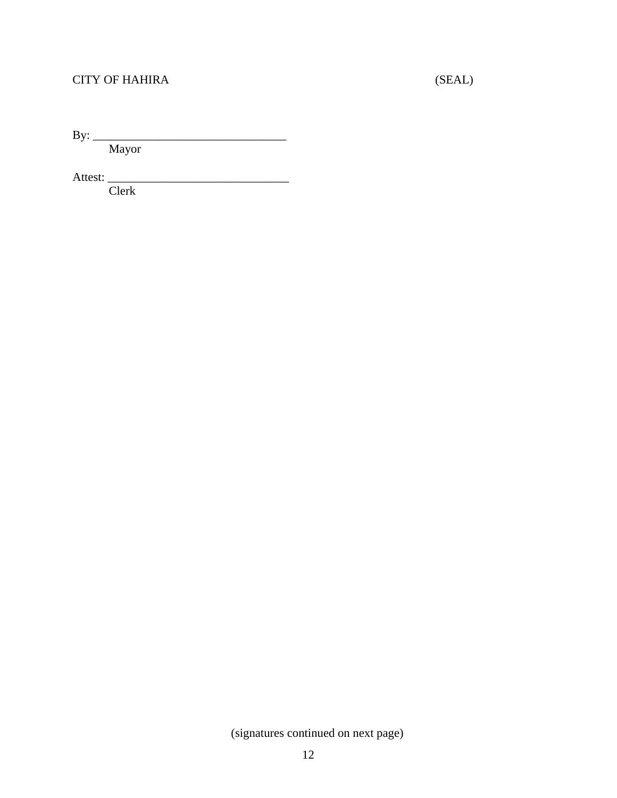# CITY OF HAHIRA (SEAL)

By: \_\_\_\_\_\_\_\_\_\_\_\_\_\_\_\_\_\_\_\_\_\_\_\_\_\_\_\_\_\_\_\_

Mayor

Attest: \_\_\_\_\_\_\_\_\_\_\_\_\_\_\_\_\_\_\_\_\_\_\_\_\_\_\_\_\_\_

Clerk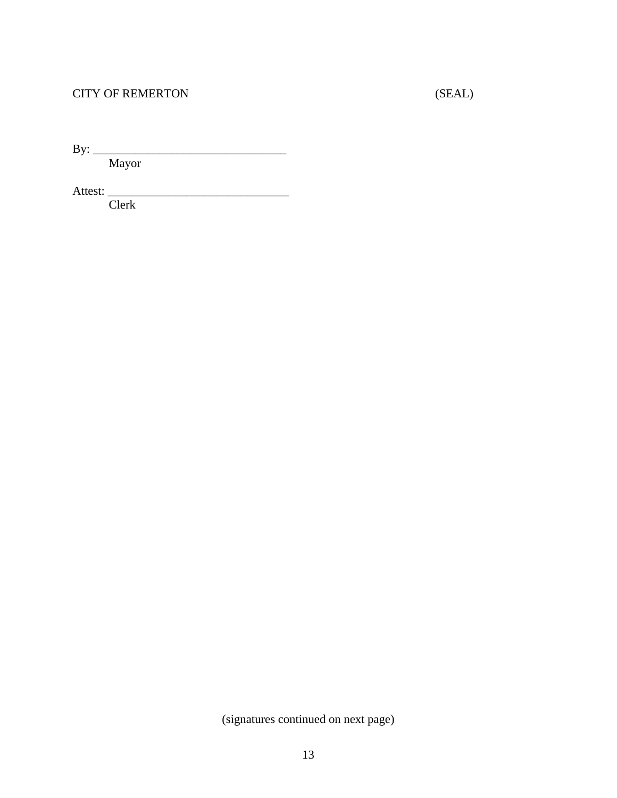### CITY OF REMERTON (SEAL)

By: \_\_\_\_\_\_\_\_\_\_\_\_\_\_\_\_\_\_\_\_\_\_\_\_\_\_\_\_\_\_\_\_

Mayor

Attest: \_\_\_\_\_\_\_\_\_\_\_\_\_\_\_\_\_\_\_\_\_\_\_\_\_\_\_\_\_\_

Clerk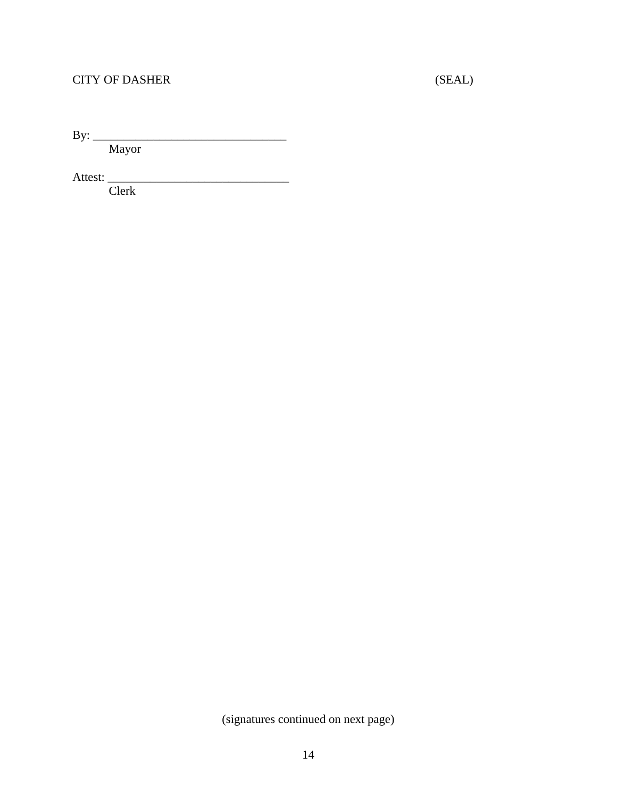# CITY OF DASHER (SEAL)

By: \_\_\_\_\_\_\_\_\_\_\_\_\_\_\_\_\_\_\_\_\_\_\_\_\_\_\_\_\_\_\_\_

Mayor

Attest: \_\_\_\_\_\_\_\_\_\_\_\_\_\_\_\_\_\_\_\_\_\_\_\_\_\_\_\_\_\_

Clerk